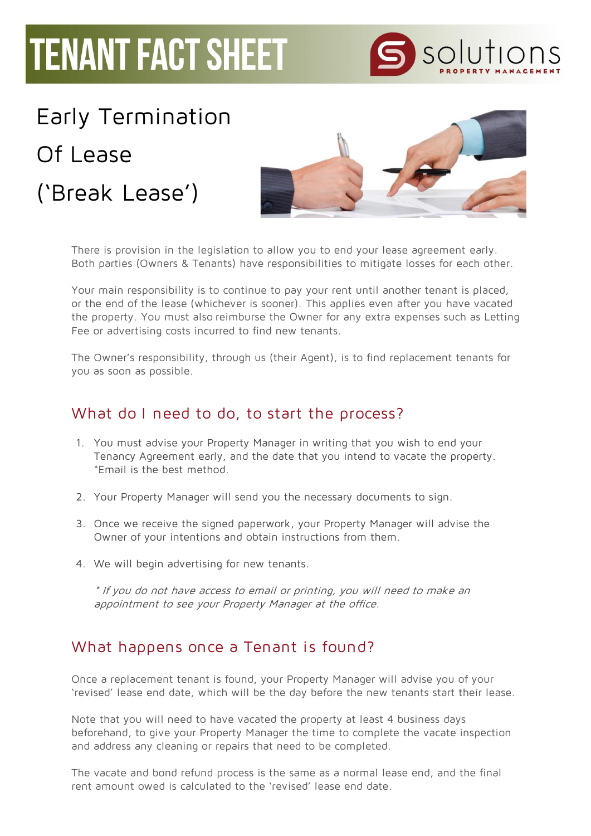## **TENANT FACT SHEET**

## Early Termination

Of Lease ('Break Lease')



solutions

There is provision in the legislation to allow you to end your lease agreement early. Both parties (Owners & Tenants) have responsibilities to mitigate losses for each other.

Your main responsibility is to continue to pay your rent until another tenant is placed, or the end of the lease (whichever is sooner). This applies even after you have vacated the property. You must also reimburse the Owner for any extra expenses such as Letting Fee or advertising costs incurred to find new tenants.

The Owner's responsibility, through us (their Agent), is to find replacement tenants for you as soon as possible.

## What do I need to do, to start the process?

- 1. You must advise your Property Manager in writing that you wish to end your Tenancy Agreement early, and the date that you intend to vacate the property. \*Email is the best method.
- 2. Your Property Manager will send you the necessary documents to sign.
- 3. Once we receive the signed paperwork, your Property Manager will advise the Owner of your intentions and obtain instructions from them.
- 4. We will begin advertising for new tenants.

\* If you do not have access to email or printing, you will need to make an appointment to see your Property Manager at the office.

## What happens once a Tenant is found?

Once a replacement tenant is found, your Property Manager will advise you of your 'revised' lease end date, which will be the day before the new tenants start their lease.

Note that you will need to have vacated the property at least 4 business days beforehand, to give your Property Manager the time to complete the vacate inspection and address any cleaning or repairs that need to be completed.

The vacate and bond refund process is the same as a normal lease end, and the final rent amount owed is calculated to the 'revised' lease end date.